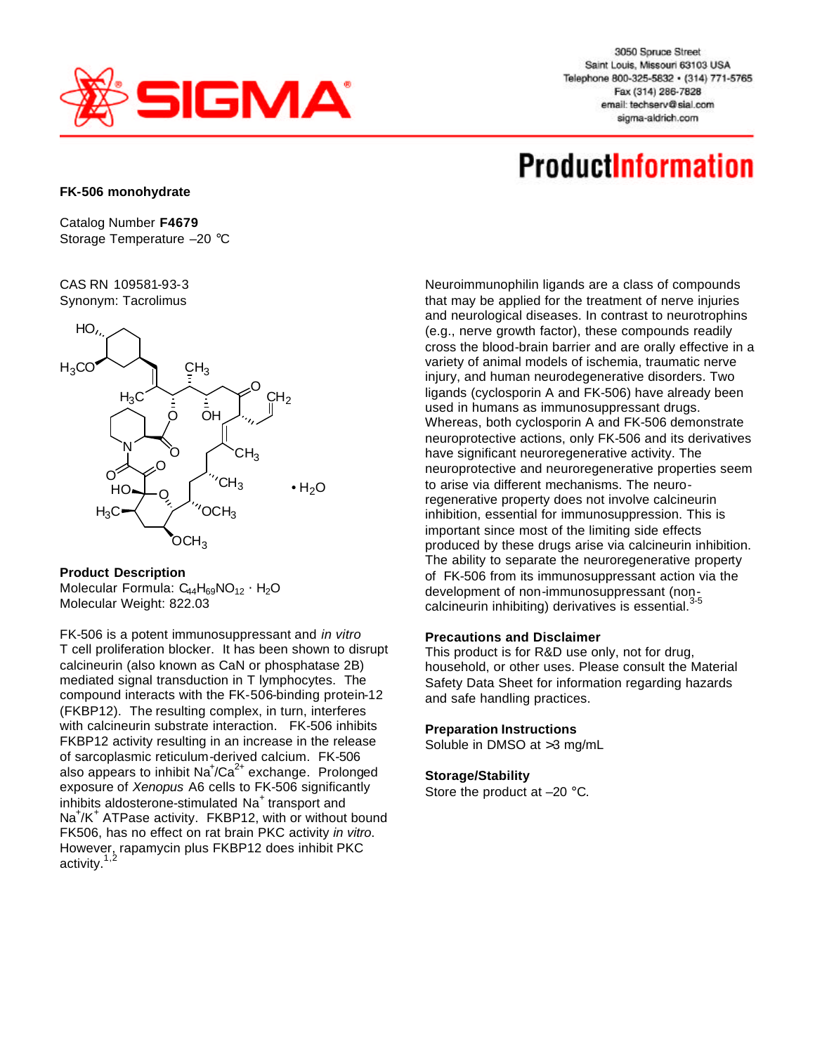

3050 Spruce Street Saint Louis, Missouri 63103 USA Telephone 800-325-5832 · (314) 771-5765 Fax (314) 286-7828 email: techserv@sial.com sigma-aldrich.com

# **ProductInformation**

### **FK-506 monohydrate**

Catalog Number **F4679** Storage Temperature –20 °C

CAS RN 109581-93-3 Synonym: Tacrolimus



## **Product Description**

Molecular Formula: C<sub>44</sub>H<sub>69</sub>NO<sub>12</sub> × H<sub>2</sub>O Molecular Weight: 822.03

FK-506 is a potent immunosuppressant and *in vitro* T cell proliferation blocker. It has been shown to disrupt calcineurin (also known as CaN or phosphatase 2B) mediated signal transduction in T lymphocytes. The compound interacts with the FK-506-binding protein-12 (FKBP12). The resulting complex, in turn, interferes with calcineurin substrate interaction. FK-506 inhibits FKBP12 activity resulting in an increase in the release of sarcoplasmic reticulum-derived calcium. FK-506 also appears to inhibit  $\text{Na}^+\text{/Ca}^{2+}$  exchange. Prolonged exposure of *Xenopus* A6 cells to FK-506 significantly inhibits aldosterone-stimulated Na<sup>+</sup> transport and Na<sup>+</sup>/K<sup>+</sup> ATPase activity. FKBP12, with or without bound FK506, has no effect on rat brain PKC activity *in vitro*. However, rapamycin plus FKBP12 does inhibit PKC activity.<sup>1,2</sup>

Neuroimmunophilin ligands are a class of compounds that may be applied for the treatment of nerve injuries and neurological diseases. In contrast to neurotrophins (e.g., nerve growth factor), these compounds readily cross the blood-brain barrier and are orally effective in a variety of animal models of ischemia, traumatic nerve injury, and human neurodegenerative disorders. Two ligands (cyclosporin A and FK-506) have already been used in humans as immunosuppressant drugs. Whereas, both cyclosporin A and FK-506 demonstrate neuroprotective actions, only FK-506 and its derivatives have significant neuroregenerative activity. The neuroprotective and neuroregenerative properties seem to arise via different mechanisms. The neuroregenerative property does not involve calcineurin inhibition, essential for immunosuppression. This is important since most of the limiting side effects produced by these drugs arise via calcineurin inhibition. The ability to separate the neuroregenerative property of FK-506 from its immunosuppressant action via the development of non-immunosuppressant (non-<br>3-5 calcineurin inhibiting) derivatives is essential.<sup>3</sup>

#### **Precautions and Disclaimer**

This product is for R&D use only, not for drug, household, or other uses. Please consult the Material Safety Data Sheet for information regarding hazards and safe handling practices.

#### **Preparation Instructions**

Soluble in DMSO at >3 mg/mL

## **Storage/Stability**

Store the product at –20 °C.